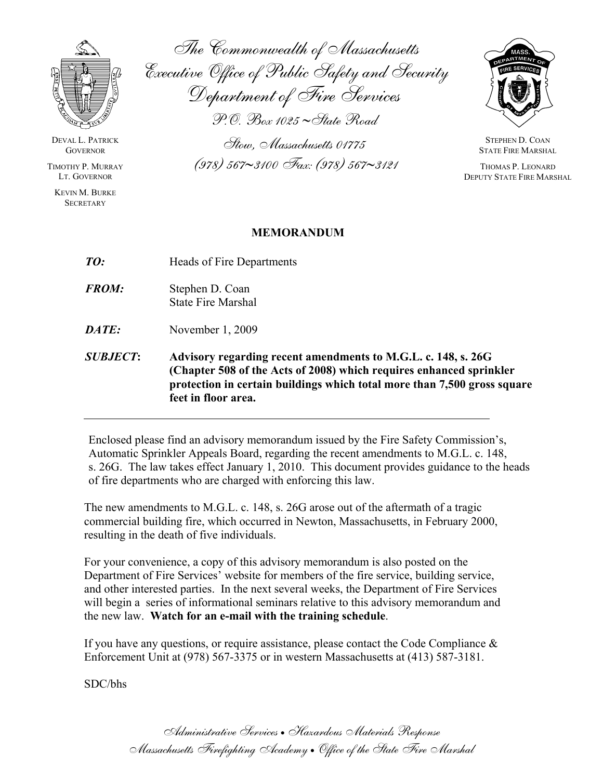

DEVAL L. PATRICK **GOVERNOR** 

TIMOTHY P. MURRAY LT. GOVERNOR

KEVIN M. BURKE **SECRETARY** 

The Commonwealth of Massachusetts Executive Office of Public Safety and Security Department of Fire Services

P.O. Box 1025 ∼State Road

Stow, Massachusetts 01775 (978) 567∼3100 Fax: (978) 567∼3121



STEPHEN D. COAN STATE FIRE MARSHAL

 THOMAS P. LEONARD DEPUTY STATE FIRE MARSHAL

#### **MEMORANDUM**

| <b>SUBJECT:</b> | Advisory regarding recent amendments to M.G.L. c. 148, s. 26G<br>(Chapter 508 of the Acts of 2008) which requires enhanced sprinkler<br>protection in certain buildings which total more than 7,500 gross square<br>feet in floor area. |
|-----------------|-----------------------------------------------------------------------------------------------------------------------------------------------------------------------------------------------------------------------------------------|
| DATE:           | November $1, 2009$                                                                                                                                                                                                                      |
| <b>FROM:</b>    | Stephen D. Coan<br><b>State Fire Marshal</b>                                                                                                                                                                                            |
| TO:             | Heads of Fire Departments                                                                                                                                                                                                               |

Enclosed please find an advisory memorandum issued by the Fire Safety Commission's, Automatic Sprinkler Appeals Board, regarding the recent amendments to M.G.L. c. 148, s. 26G. The law takes effect January 1, 2010. This document provides guidance to the heads of fire departments who are charged with enforcing this law.

The new amendments to M.G.L. c. 148, s. 26G arose out of the aftermath of a tragic commercial building fire, which occurred in Newton, Massachusetts, in February 2000, resulting in the death of five individuals.

For your convenience, a copy of this advisory memorandum is also posted on the Department of Fire Services' website for members of the fire service, building service, and other interested parties. In the next several weeks, the Department of Fire Services will begin a series of informational seminars relative to this advisory memorandum and the new law. **Watch for an e-mail with the training schedule**.

If you have any questions, or require assistance, please contact the Code Compliance  $\&$ Enforcement Unit at (978) 567-3375 or in western Massachusetts at (413) 587-3181.

SDC/bhs

Administrative Services • Hazardous Materials Response Massachusetts Firefighting Academy • Office of the State Fire Marshal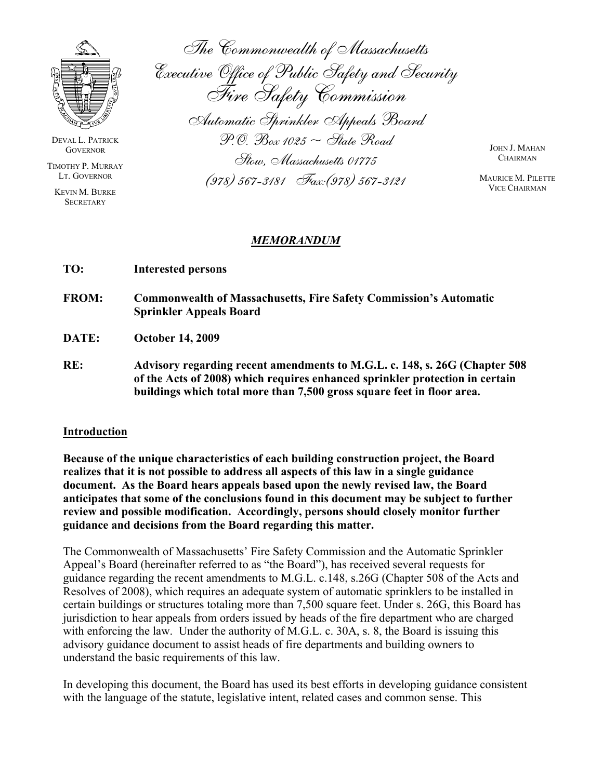

DEVAL L. PATRICK **GOVERNOR** 

TIMOTHY P. MURRAY LT. GOVERNOR

KEVIN M. BURKE **SECRETARY** 

The Commonwealth of Massachusetts Executive Office of Public Safety and Security Fire Safety Commission Automatic Sprinkler Appeals Board  $P.$ O. Box 1025  $\sim$  State Road Stow, Massachusetts 01775 (978) 567-3181 Fax:(978) 567-3121

JOHN J. MAHAN **CHAIRMAN** 

MAURICE M. PILETTE VICE CHAIRMAN

#### *MEMORANDUM*

| TO: | <b>Interested persons</b> |  |
|-----|---------------------------|--|
|-----|---------------------------|--|

**FROM: Commonwealth of Massachusetts, Fire Safety Commission's Automatic Sprinkler Appeals Board** 

**DATE: October 14, 2009** 

**RE: Advisory regarding recent amendments to M.G.L. c. 148, s. 26G (Chapter 508 of the Acts of 2008) which requires enhanced sprinkler protection in certain buildings which total more than 7,500 gross square feet in floor area.** 

#### **Introduction**

**Because of the unique characteristics of each building construction project, the Board realizes that it is not possible to address all aspects of this law in a single guidance document. As the Board hears appeals based upon the newly revised law, the Board anticipates that some of the conclusions found in this document may be subject to further review and possible modification. Accordingly, persons should closely monitor further guidance and decisions from the Board regarding this matter.** 

The Commonwealth of Massachusetts' Fire Safety Commission and the Automatic Sprinkler Appeal's Board (hereinafter referred to as "the Board"), has received several requests for guidance regarding the recent amendments to M.G.L. c.148, s.26G (Chapter 508 of the Acts and Resolves of 2008), which requires an adequate system of automatic sprinklers to be installed in certain buildings or structures totaling more than 7,500 square feet. Under s. 26G, this Board has jurisdiction to hear appeals from orders issued by heads of the fire department who are charged with enforcing the law. Under the authority of M.G.L. c. 30A, s. 8, the Board is issuing this advisory guidance document to assist heads of fire departments and building owners to understand the basic requirements of this law.

In developing this document, the Board has used its best efforts in developing guidance consistent with the language of the statute, legislative intent, related cases and common sense. This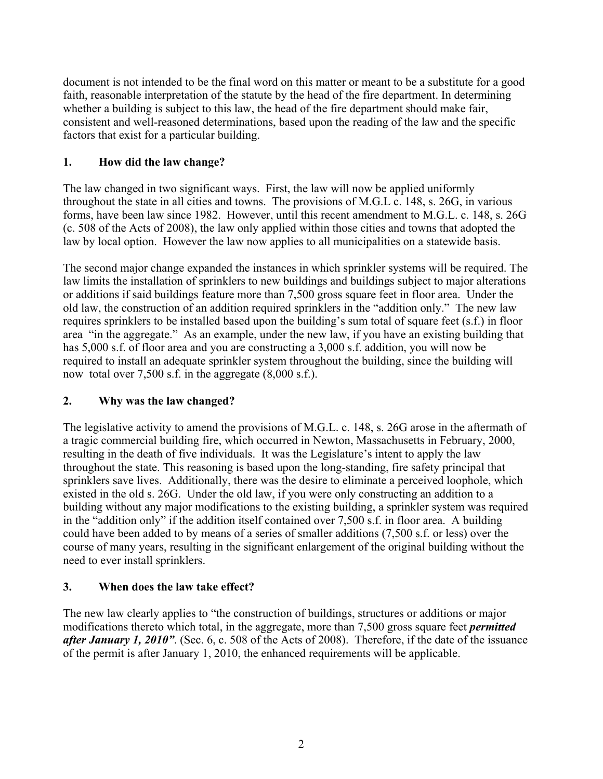document is not intended to be the final word on this matter or meant to be a substitute for a good faith, reasonable interpretation of the statute by the head of the fire department. In determining whether a building is subject to this law, the head of the fire department should make fair, consistent and well-reasoned determinations, based upon the reading of the law and the specific factors that exist for a particular building.

## **1. How did the law change?**

The law changed in two significant ways. First, the law will now be applied uniformly throughout the state in all cities and towns. The provisions of M.G.L c. 148, s. 26G, in various forms, have been law since 1982. However, until this recent amendment to M.G.L. c. 148, s. 26G (c. 508 of the Acts of 2008), the law only applied within those cities and towns that adopted the law by local option. However the law now applies to all municipalities on a statewide basis.

The second major change expanded the instances in which sprinkler systems will be required. The law limits the installation of sprinklers to new buildings and buildings subject to major alterations or additions if said buildings feature more than 7,500 gross square feet in floor area. Under the old law, the construction of an addition required sprinklers in the "addition only." The new law requires sprinklers to be installed based upon the building's sum total of square feet (s.f.) in floor area "in the aggregate." As an example, under the new law, if you have an existing building that has 5,000 s.f. of floor area and you are constructing a 3,000 s.f. addition, you will now be required to install an adequate sprinkler system throughout the building, since the building will now total over 7,500 s.f. in the aggregate (8,000 s.f.).

# **2. Why was the law changed?**

The legislative activity to amend the provisions of M.G.L. c. 148, s. 26G arose in the aftermath of a tragic commercial building fire, which occurred in Newton, Massachusetts in February, 2000, resulting in the death of five individuals. It was the Legislature's intent to apply the law throughout the state. This reasoning is based upon the long-standing, fire safety principal that sprinklers save lives. Additionally, there was the desire to eliminate a perceived loophole, which existed in the old s. 26G. Under the old law, if you were only constructing an addition to a building without any major modifications to the existing building, a sprinkler system was required in the "addition only" if the addition itself contained over 7,500 s.f. in floor area. A building could have been added to by means of a series of smaller additions (7,500 s.f. or less) over the course of many years, resulting in the significant enlargement of the original building without the need to ever install sprinklers.

### **3. When does the law take effect?**

The new law clearly applies to "the construction of buildings, structures or additions or major modifications thereto which total, in the aggregate, more than 7,500 gross square feet *permitted after January 1, 2010"*. (Sec. 6, c. 508 of the Acts of 2008). Therefore, if the date of the issuance of the permit is after January 1, 2010, the enhanced requirements will be applicable.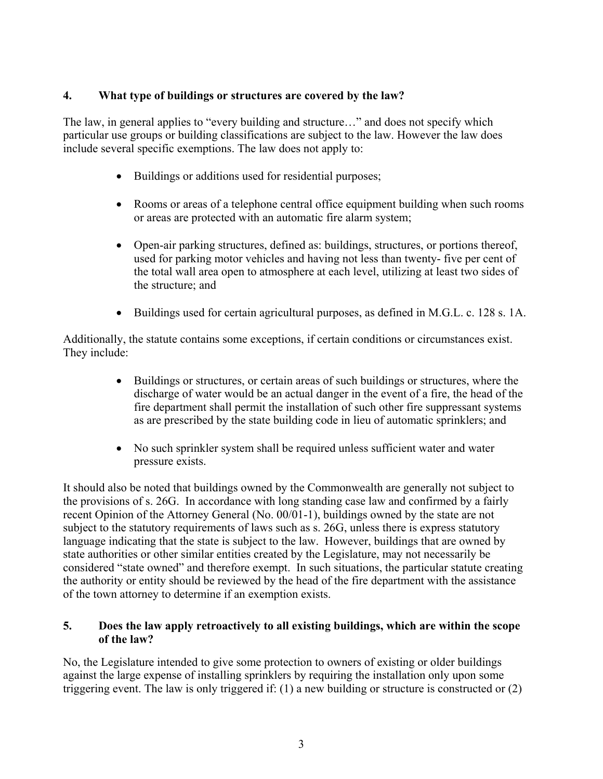### **4. What type of buildings or structures are covered by the law?**

The law, in general applies to "every building and structure…" and does not specify which particular use groups or building classifications are subject to the law. However the law does include several specific exemptions. The law does not apply to:

- Buildings or additions used for residential purposes;
- Rooms or areas of a telephone central office equipment building when such rooms or areas are protected with an automatic fire alarm system;
- Open-air parking structures, defined as: buildings, structures, or portions thereof, used for parking motor vehicles and having not less than twenty- five per cent of the total wall area open to atmosphere at each level, utilizing at least two sides of the structure; and
- Buildings used for certain agricultural purposes, as defined in M.G.L. c. 128 s. 1A.

Additionally, the statute contains some exceptions, if certain conditions or circumstances exist. They include:

- Buildings or structures, or certain areas of such buildings or structures, where the discharge of water would be an actual danger in the event of a fire, the head of the fire department shall permit the installation of such other fire suppressant systems as are prescribed by the state building code in lieu of automatic sprinklers; and
- No such sprinkler system shall be required unless sufficient water and water pressure exists.

It should also be noted that buildings owned by the Commonwealth are generally not subject to the provisions of s. 26G. In accordance with long standing case law and confirmed by a fairly recent Opinion of the Attorney General (No. 00/01-1), buildings owned by the state are not subject to the statutory requirements of laws such as s. 26G, unless there is express statutory language indicating that the state is subject to the law. However, buildings that are owned by state authorities or other similar entities created by the Legislature, may not necessarily be considered "state owned" and therefore exempt. In such situations, the particular statute creating the authority or entity should be reviewed by the head of the fire department with the assistance of the town attorney to determine if an exemption exists.

### **5. Does the law apply retroactively to all existing buildings, which are within the scope of the law?**

No, the Legislature intended to give some protection to owners of existing or older buildings against the large expense of installing sprinklers by requiring the installation only upon some triggering event. The law is only triggered if: (1) a new building or structure is constructed or (2)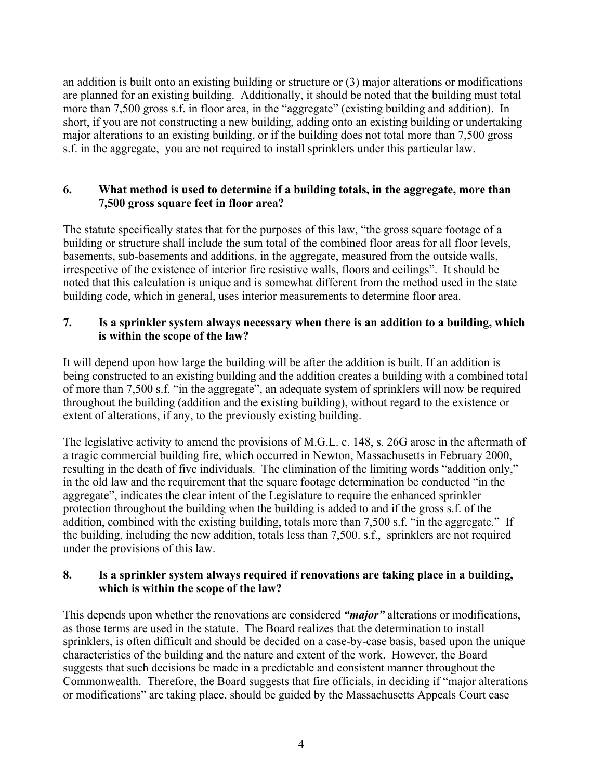an addition is built onto an existing building or structure or (3) major alterations or modifications are planned for an existing building. Additionally, it should be noted that the building must total more than 7,500 gross s.f. in floor area, in the "aggregate" (existing building and addition). In short, if you are not constructing a new building, adding onto an existing building or undertaking major alterations to an existing building, or if the building does not total more than 7,500 gross s.f. in the aggregate, you are not required to install sprinklers under this particular law.

#### **6. What method is used to determine if a building totals, in the aggregate, more than 7,500 gross square feet in floor area?**

The statute specifically states that for the purposes of this law, "the gross square footage of a building or structure shall include the sum total of the combined floor areas for all floor levels, basements, sub-basements and additions, in the aggregate, measured from the outside walls, irrespective of the existence of interior fire resistive walls, floors and ceilings". It should be noted that this calculation is unique and is somewhat different from the method used in the state building code, which in general, uses interior measurements to determine floor area.

### **7. Is a sprinkler system always necessary when there is an addition to a building, which is within the scope of the law?**

It will depend upon how large the building will be after the addition is built. If an addition is being constructed to an existing building and the addition creates a building with a combined total of more than 7,500 s.f. "in the aggregate", an adequate system of sprinklers will now be required throughout the building (addition and the existing building), without regard to the existence or extent of alterations, if any, to the previously existing building.

The legislative activity to amend the provisions of M.G.L. c. 148, s. 26G arose in the aftermath of a tragic commercial building fire, which occurred in Newton, Massachusetts in February 2000, resulting in the death of five individuals. The elimination of the limiting words "addition only," in the old law and the requirement that the square footage determination be conducted "in the aggregate", indicates the clear intent of the Legislature to require the enhanced sprinkler protection throughout the building when the building is added to and if the gross s.f. of the addition, combined with the existing building, totals more than 7,500 s.f. "in the aggregate." If the building, including the new addition, totals less than 7,500. s.f., sprinklers are not required under the provisions of this law.

#### **8. Is a sprinkler system always required if renovations are taking place in a building, which is within the scope of the law?**

This depends upon whether the renovations are considered *"major"* alterations or modifications, as those terms are used in the statute. The Board realizes that the determination to install sprinklers, is often difficult and should be decided on a case-by-case basis, based upon the unique characteristics of the building and the nature and extent of the work. However, the Board suggests that such decisions be made in a predictable and consistent manner throughout the Commonwealth. Therefore, the Board suggests that fire officials, in deciding if "major alterations or modifications" are taking place, should be guided by the Massachusetts Appeals Court case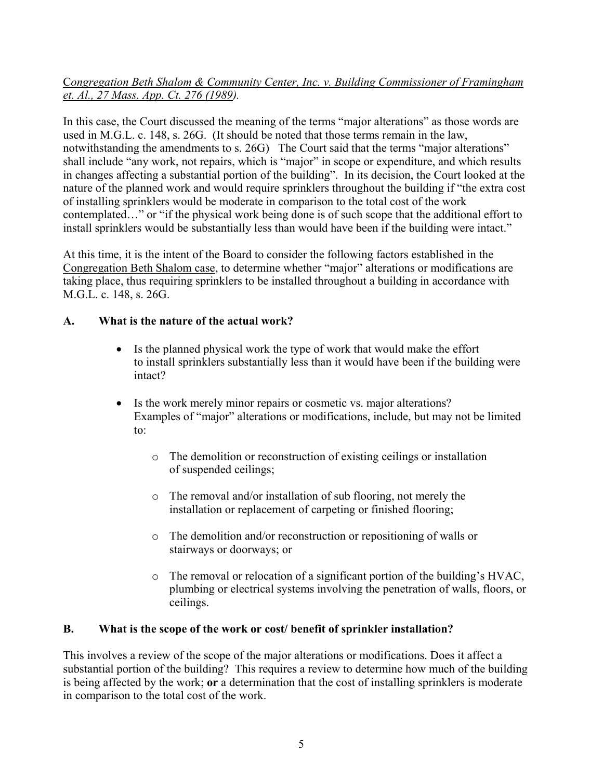### C*ongregation Beth Shalom & Community Center, Inc. v. Building Commissioner of Framingham et. Al., 27 Mass. App. Ct. 276 (1989).*

In this case, the Court discussed the meaning of the terms "major alterations" as those words are used in M.G.L. c. 148, s. 26G. (It should be noted that those terms remain in the law, notwithstanding the amendments to s. 26G) The Court said that the terms "major alterations" shall include "any work, not repairs, which is "major" in scope or expenditure, and which results in changes affecting a substantial portion of the building". In its decision, the Court looked at the nature of the planned work and would require sprinklers throughout the building if "the extra cost of installing sprinklers would be moderate in comparison to the total cost of the work contemplated…" or "if the physical work being done is of such scope that the additional effort to install sprinklers would be substantially less than would have been if the building were intact."

At this time, it is the intent of the Board to consider the following factors established in the Congregation Beth Shalom case, to determine whether "major" alterations or modifications are taking place, thus requiring sprinklers to be installed throughout a building in accordance with M.G.L. c. 148, s. 26G.

### **A. What is the nature of the actual work?**

- Is the planned physical work the type of work that would make the effort to install sprinklers substantially less than it would have been if the building were intact?
- Is the work merely minor repairs or cosmetic vs. major alterations? Examples of "major" alterations or modifications, include, but may not be limited to:
	- o The demolition or reconstruction of existing ceilings or installation of suspended ceilings;
	- o The removal and/or installation of sub flooring, not merely the installation or replacement of carpeting or finished flooring;
	- o The demolition and/or reconstruction or repositioning of walls or stairways or doorways; or
	- $\circ$  The removal or relocation of a significant portion of the building's HVAC, plumbing or electrical systems involving the penetration of walls, floors, or ceilings.

### **B. What is the scope of the work or cost/ benefit of sprinkler installation?**

This involves a review of the scope of the major alterations or modifications. Does it affect a substantial portion of the building? This requires a review to determine how much of the building is being affected by the work; **or** a determination that the cost of installing sprinklers is moderate in comparison to the total cost of the work.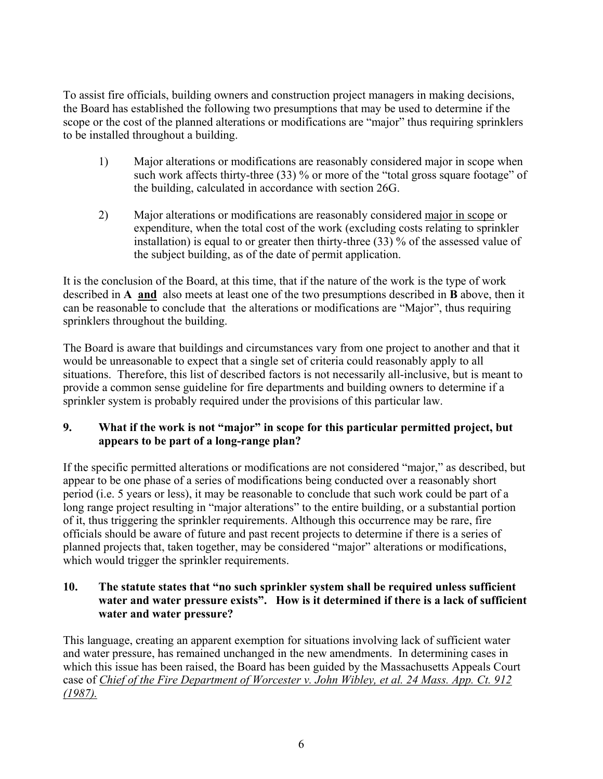To assist fire officials, building owners and construction project managers in making decisions, the Board has established the following two presumptions that may be used to determine if the scope or the cost of the planned alterations or modifications are "major" thus requiring sprinklers to be installed throughout a building.

- 1) Major alterations or modifications are reasonably considered major in scope when such work affects thirty-three (33) % or more of the "total gross square footage" of the building, calculated in accordance with section 26G.
- 2) Major alterations or modifications are reasonably considered major in scope or expenditure, when the total cost of the work (excluding costs relating to sprinkler installation) is equal to or greater then thirty-three (33) % of the assessed value of the subject building, as of the date of permit application.

It is the conclusion of the Board, at this time, that if the nature of the work is the type of work described in **A and** also meets at least one of the two presumptions described in **B** above, then it can be reasonable to conclude that the alterations or modifications are "Major", thus requiring sprinklers throughout the building.

The Board is aware that buildings and circumstances vary from one project to another and that it would be unreasonable to expect that a single set of criteria could reasonably apply to all situations. Therefore, this list of described factors is not necessarily all-inclusive, but is meant to provide a common sense guideline for fire departments and building owners to determine if a sprinkler system is probably required under the provisions of this particular law.

## **9. What if the work is not "major" in scope for this particular permitted project, but appears to be part of a long-range plan?**

If the specific permitted alterations or modifications are not considered "major," as described, but appear to be one phase of a series of modifications being conducted over a reasonably short period (i.e. 5 years or less), it may be reasonable to conclude that such work could be part of a long range project resulting in "major alterations" to the entire building, or a substantial portion of it, thus triggering the sprinkler requirements. Although this occurrence may be rare, fire officials should be aware of future and past recent projects to determine if there is a series of planned projects that, taken together, may be considered "major" alterations or modifications, which would trigger the sprinkler requirements.

### **10. The statute states that "no such sprinkler system shall be required unless sufficient water and water pressure exists". How is it determined if there is a lack of sufficient water and water pressure?**

This language, creating an apparent exemption for situations involving lack of sufficient water and water pressure, has remained unchanged in the new amendments. In determining cases in which this issue has been raised, the Board has been guided by the Massachusetts Appeals Court case of *Chief of the Fire Department of Worcester v. John Wibley, et al. 24 Mass. App. Ct. 912 (1987).*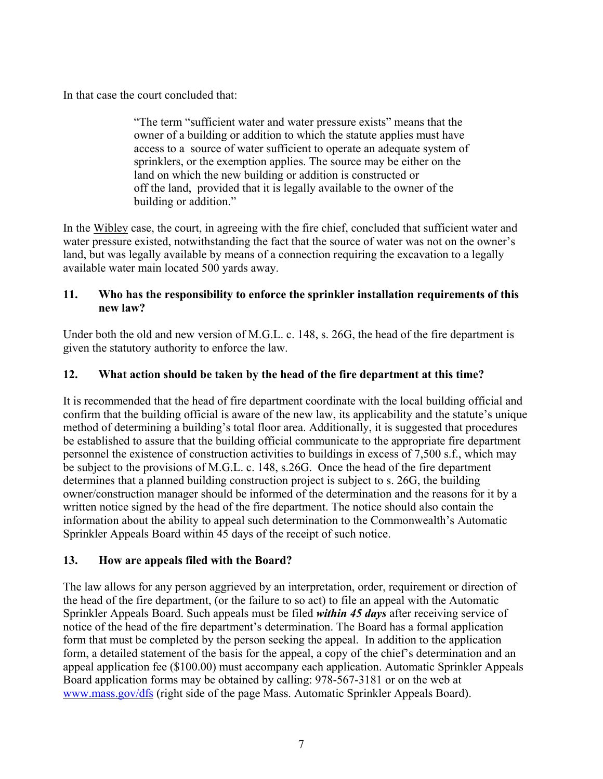In that case the court concluded that:

"The term "sufficient water and water pressure exists" means that the owner of a building or addition to which the statute applies must have access to a source of water sufficient to operate an adequate system of sprinklers, or the exemption applies. The source may be either on the land on which the new building or addition is constructed or off the land, provided that it is legally available to the owner of the building or addition."

In the Wibley case, the court, in agreeing with the fire chief, concluded that sufficient water and water pressure existed, notwithstanding the fact that the source of water was not on the owner's land, but was legally available by means of a connection requiring the excavation to a legally available water main located 500 yards away.

### **11. Who has the responsibility to enforce the sprinkler installation requirements of this new law?**

Under both the old and new version of M.G.L. c. 148, s. 26G, the head of the fire department is given the statutory authority to enforce the law.

## **12. What action should be taken by the head of the fire department at this time?**

It is recommended that the head of fire department coordinate with the local building official and confirm that the building official is aware of the new law, its applicability and the statute's unique method of determining a building's total floor area. Additionally, it is suggested that procedures be established to assure that the building official communicate to the appropriate fire department personnel the existence of construction activities to buildings in excess of 7,500 s.f., which may be subject to the provisions of M.G.L. c. 148, s.26G. Once the head of the fire department determines that a planned building construction project is subject to s. 26G, the building owner/construction manager should be informed of the determination and the reasons for it by a written notice signed by the head of the fire department. The notice should also contain the information about the ability to appeal such determination to the Commonwealth's Automatic Sprinkler Appeals Board within 45 days of the receipt of such notice.

### **13. How are appeals filed with the Board?**

The law allows for any person aggrieved by an interpretation, order, requirement or direction of the head of the fire department, (or the failure to so act) to file an appeal with the Automatic Sprinkler Appeals Board. Such appeals must be filed *within 45 days* after receiving service of notice of the head of the fire department's determination. The Board has a formal application form that must be completed by the person seeking the appeal. In addition to the application form, a detailed statement of the basis for the appeal, a copy of the chief's determination and an appeal application fee (\$100.00) must accompany each application. Automatic Sprinkler Appeals Board application forms may be obtained by calling: 978-567-3181 or on the web at [www.mass.gov/dfs](http://www.mass.gov/dfs) (right side of the page Mass. Automatic Sprinkler Appeals Board).